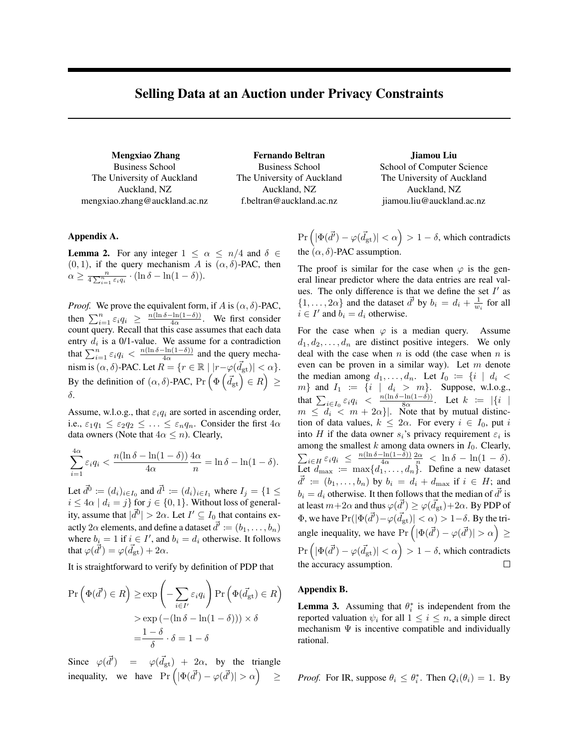# Selling Data at an Auction under Privacy Constraints

Mengxiao Zhang Business School The University of Auckland Auckland, NZ mengxiao.zhang@auckland.ac.nz

Fernando Beltran Business School The University of Auckland Auckland, NZ f.beltran@auckland.ac.nz

Jiamou Liu School of Computer Science The University of Auckland Auckland, NZ jiamou.liu@auckland.ac.nz

## Appendix A.

**Lemma 2.** For any integer  $1 \leq \alpha \leq n/4$  and  $\delta \in$  $(0, 1)$ , if the query mechanism A is  $(\alpha, \delta)$ -PAC, then  $\alpha \geq \frac{n}{4 \sum_{i=1}^{n} \varepsilon_i q_i} \cdot (\ln \delta - \ln(1-\delta)).$ 

*Proof.* We prove the equivalent form, if A is  $(\alpha, \delta)$ -PAC, then  $\sum_{i=1}^{n} \varepsilon_i q_i \geq \frac{n(\ln \delta - \ln(1-\delta))}{4\alpha}$  $\frac{\sin(1-\theta)}{4\alpha}$ . We first consider count query. Recall that this case assumes that each data entry  $d_i$  is a 0/1-value. We assume for a contradiction that  $\sum_{i=1}^{n} \varepsilon_i q_i < \frac{n(\ln \delta - \ln(1-\delta))}{4\alpha}$  $rac{\text{Im}(1-\theta)}{4\alpha}$  and the query mechanism is  $(\alpha, \delta)$ -PAC. Let  $R = \{r \in \mathbb{R} \mid |r - \varphi(\vec{d}_{\mathrm{gt}})| < \alpha\}.$ By the definition of  $(\alpha, \delta)$ -PAC, Pr  $(\Phi \left( \vec{d}_{gt} \right) \in R) \geq$ δ.

Assume, w.l.o.g., that  $\varepsilon_i q_i$  are sorted in ascending order, i.e.,  $\varepsilon_1 q_1 \leq \varepsilon_2 q_2 \leq \ldots \leq \varepsilon_n q_n$ . Consider the first  $4\alpha$ data owners (Note that  $4\alpha \leq n$ ). Clearly,

$$
\sum_{i=1}^{4\alpha} \varepsilon_i q_i < \frac{n(\ln \delta - \ln(1-\delta))}{4\alpha} \frac{4\alpha}{n} = \ln \delta - \ln(1-\delta).
$$

Let  $\vec{d}^0 := (d_i)_{i \in I_0}$  and  $\vec{d}^1 := (d_i)_{i \in I_1}$  where  $I_j = \{1 \leq j \leq n\}$  $i \leq 4\alpha \mid d_i = j$  for  $j \in \{0, 1\}$ . Without loss of generality, assume that  $|\vec{d}^0| > 2\alpha$ . Let  $I' \subseteq I_0$  that contains exactly  $2\alpha$  elements, and define a dataset  $\vec{d'} \coloneqq (b_1, \ldots, b_n)$ where  $b_i = 1$  if  $i \in I'$ , and  $b_i = d_i$  otherwise. It follows that  $\varphi(\vec{d'}) = \varphi(\vec{d}_{gt}) + 2\alpha$ .

It is straightforward to verify by definition of PDP that

$$
\Pr\left(\Phi(\vec{d}') \in R\right) \ge \exp\left(-\sum_{i \in I'} \varepsilon_i q_i\right) \Pr\left(\Phi(\vec{d}_{gt}) \in R\right)
$$

$$
> \exp\left(-(\ln \delta - \ln(1 - \delta))\right) \times \delta
$$

$$
= \frac{1 - \delta}{\delta} \cdot \delta = 1 - \delta
$$

Since  $\varphi(\vec{d}') = \varphi(\vec{d}_{gt}) + 2\alpha$ , by the triangle inequality, we have  $\Pr\left(|\Phi(\vec{d}') - \varphi(\vec{d}')| > \alpha\right)$ ≥  $\Pr \left( \left| \Phi (\vec{d'}) - \varphi (\vec{d}_{\mathrm{gt}}) \right| < \alpha \right) > 1 - \delta,$  which contradicts the  $(\alpha, \delta)$ -PAC assumption.

The proof is similar for the case when  $\varphi$  is the general linear predictor where the data entries are real values. The only difference is that we define the set  $I'$  as  $\{1, \ldots, 2\alpha\}$  and the dataset  $\overrightarrow{d}$  by  $b_i = d_i + \frac{1}{w_i}$  for all  $i \in I'$  and  $b_i = d_i$  otherwise.

For the case when  $\varphi$  is a median query. Assume  $d_1, d_2, \ldots, d_n$  are distinct positive integers. We only deal with the case when  $n$  is odd (the case when  $n$  is even can be proven in a similar way). Let  $m$  denote the median among  $d_1, \ldots, d_n$ . Let  $I_0 := \{i \mid d_i \leq$  $m$ } and  $I_1 := \{i \mid d_i > m\}$ . Suppose, w.l.o.g., that  $\sum_{i \in I_0} \varepsilon_i q_i$  <  $\frac{n(\ln \delta - \ln(1-\delta))}{8\alpha}$  $\frac{\text{Im}(1-o)}{8\alpha}$ . Let  $k := |\{i \mid$  $m \leq d_i \leq m + 2\alpha$ . Note that by mutual distinction of data values,  $k \leq 2\alpha$ . For every  $i \in I_0$ , put i into H if the data owner  $s_i$ 's privacy requirement  $\varepsilon_i$  is among the smallest  $k$  among data owners in  $I_0$ . Clearly,  $\sum_{i\in H} \varepsilon_i q_i \leq \frac{n(\ln \delta - \ln(1-\delta))}{4\alpha}$  $\frac{\sin(1-\delta))}{\ln \alpha} \frac{2\alpha}{n} < \ln \delta - \ln(1-\delta).$ Let  $d_{\text{max}} := \max\{d_1, \ldots, d_n\}$ . Define a new dataset  $\overrightarrow{d}' := (b_1, \ldots, b_n)$  by  $b_i = d_i + d_{\text{max}}$  if  $i \in H$ ; and  $b_i = d_i$  otherwise. It then follows that the median of  $\vec{d'}$  is at least  $m{+}2\alpha$  and thus  $\varphi(\vec{d'})\geq \varphi(\vec{d}_{\mathrm{gt}}){+}2\alpha.$  By PDP of  $\Phi$ , we have  $\Pr(|\Phi(\vec{d'})-\varphi(\vec{d}_{\mathrm{gt}})| < \alpha) > 1-\delta$ . By the triangle inequality, we have  $Pr\left( |\Phi(\vec{d}') - \varphi(\vec{d}')| > \alpha \right) \geq$  $\Pr \left( \left| \Phi (\vec{d'}) - \varphi (\vec{d}_{\mathrm{gt}}) \right| < \alpha \right) > 1 - \delta,$  which contradicts the accuracy assumption.  $\Box$ 

## Appendix B.

**Lemma 3.** Assuming that  $\theta_i^*$  is independent from the reported valuation  $\psi_i$  for all  $1 \leq i \leq n$ , a simple direct mechanism  $\Psi$  is incentive compatible and individually rational.

*Proof.* For IR, suppose  $\theta_i \leq \theta_i^*$ . Then  $Q_i(\theta_i) = 1$ . By